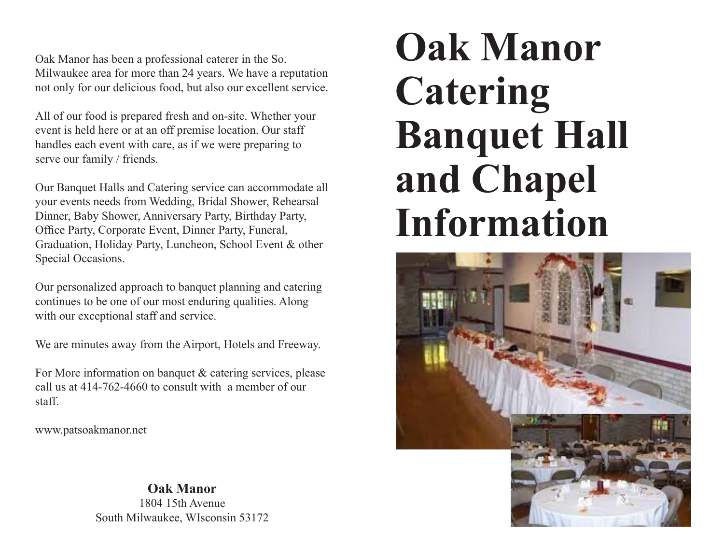Oak Manor has been a professional caterer in the So. Milwaukee area for more than 24 years. We have a reputation not only for our delicious food, but also our excellent service.

All of our food is prepared fresh and on-site. Whether your event is held here or at an off premise location. Our staff handles each event with care, as if we were preparing to serve our family / friends.

Our Banquet Halls and Catering service can accommodate all your events needs from Wedding, Bridal Shower, Rehearsal Dinner, Baby Shower, Anniversary Party, Birthday Party, Office Party, Corporate Event, Dinner Party, Funeral, Graduation, Holiday Party, Luncheon, School Event & other Special Occasions.

Our personalized approach to banquet planning and catering continues to be one of our most enduring qualities. Along with our exceptional staff and service.

We are minutes away from the Airport, Hotels and Freeway.

For More information on banquet & catering services, please call us at 414-762-4660 to consult with a member of our staff.

www.patsoakmanor.net

#### **Oak Manor**

1804 15th Avenue South Milwaukee, WIsconsin 53172

# **Oak Manor Catering Banquet Hall and Chapel Information**

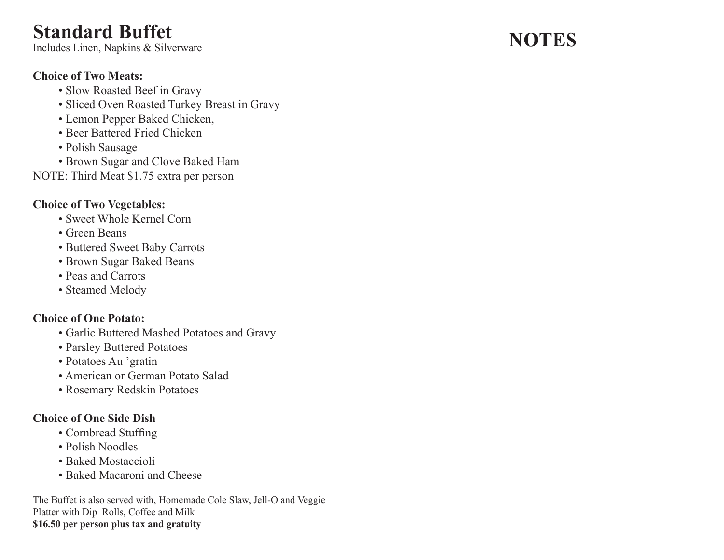# **Standard Buffet**

Includes Linen, Napkins & Silverware

#### **Choice of Two Meats:**

- Slow Roasted Beef in Gravy
- Sliced Oven Roasted Turkey Breast in Gravy
- Lemon Pepper Baked Chicken,
- Beer Battered Fried Chicken
- Polish Sausage
- Brown Sugar and Clove Baked Ham
- NOTE: Third Meat \$1.75 extra per person

#### **Choice of Two Vegetables:**

- Sweet Whole Kernel Corn
- Green Beans
- Buttered Sweet Baby Carrots
- Brown Sugar Baked Beans
- Peas and Carrots
- Steamed Melody

#### **Choice of One Potato:**

- Garlic Buttered Mashed Potatoes and Gravy
- Parsley Buttered Potatoes
- Potatoes Au 'gratin
- American or German Potato Salad
- Rosemary Redskin Potatoes

#### **Choice of One Side Dish**

- Cornbread Stuffing
- Polish Noodles
- Baked Mostaccioli
- Baked Macaroni and Cheese

The Buffet is also served with, Homemade Cole Slaw, Jell-O and Veggie Platter with Dip Rolls, Coffee and Milk **\$16.50 per person plus tax and gratuity**

# **NOTES**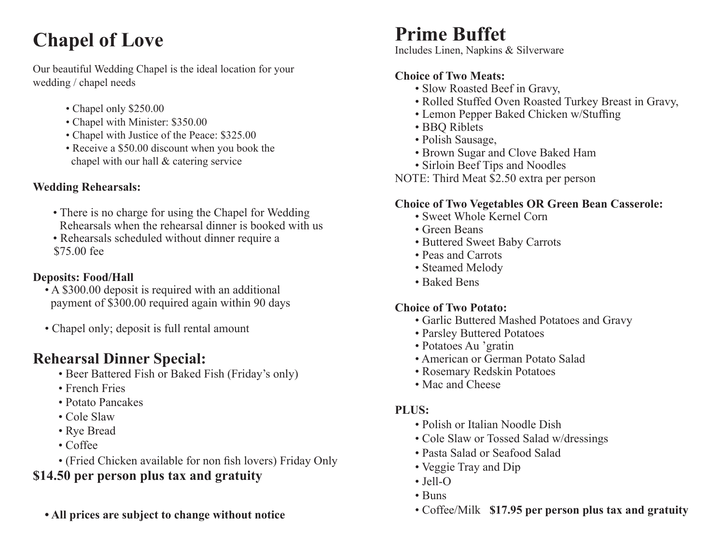# **Chapel of Love**

Our beautiful Wedding Chapel is the ideal location for your wedding / chapel needs

- Chapel only \$250.00
- Chapel with Minister: \$350.00
- Chapel with Justice of the Peace: \$325.00
- Receive a \$50.00 discount when you book the chapel with our hall & catering service

#### **Wedding Rehearsals:**

- There is no charge for using the Chapel for Wedding Rehearsals when the rehearsal dinner is booked with us
- Rehearsals scheduled without dinner require a \$75.00 fee

#### **Deposits: Food/Hall**

- A \$300.00 deposit is required with an additional payment of \$300.00 required again within 90 days
- Chapel only; deposit is full rental amount

# **Rehearsal Dinner Special:**

- Beer Battered Fish or Baked Fish (Friday's only)
- French Fries
- Potato Pancakes
- Cole Slaw
- Rye Bread
- Coffee
- (Fried Chicken available for non fish lovers) Friday Only

# **\$14.50 per person plus tax and gratuity**

 **• All prices are subject to change without notice**

# **Prime Buffet**

Includes Linen, Napkins & Silverware

### **Choice of Two Meats:**

- Slow Roasted Beef in Gravy,
- Rolled Stuffed Oven Roasted Turkey Breast in Gravy,
- Lemon Pepper Baked Chicken w/Stuffing
- BBQ Riblets
- Polish Sausage,
- Brown Sugar and Clove Baked Ham
- Sirloin Beef Tips and Noodles

NOTE: Third Meat \$2.50 extra per person

#### **Choice of Two Vegetables OR Green Bean Casserole:**

- Sweet Whole Kernel Corn
- Green Beans
- Buttered Sweet Baby Carrots
- Peas and Carrots
- Steamed Melody
- Baked Bens

#### **Choice of Two Potato:**

- Garlic Buttered Mashed Potatoes and Gravy
- Parsley Buttered Potatoes
- Potatoes Au 'gratin
- American or German Potato Salad
- Rosemary Redskin Potatoes
- Mac and Cheese

#### **PLUS:**

- Polish or Italian Noodle Dish
- Cole Slaw or Tossed Salad w/dressings
- Pasta Salad or Seafood Salad
- Veggie Tray and Dip
- Jell-O
- Buns
- Coffee/Milk **\$17.95 per person plus tax and gratuity**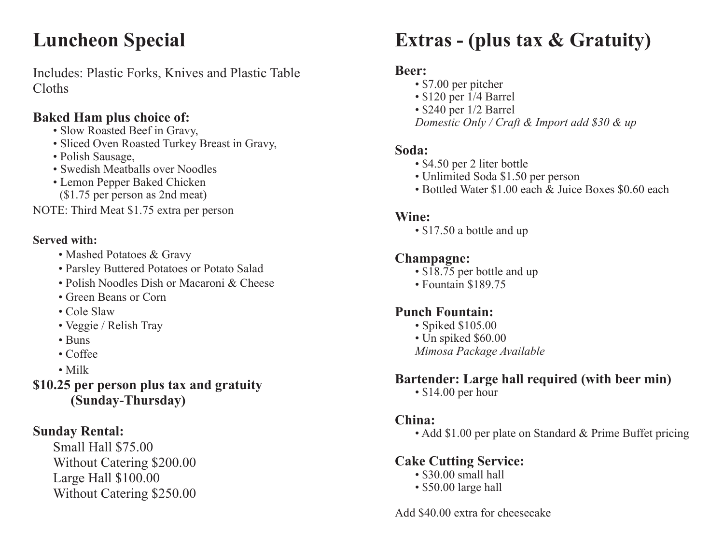# **Luncheon Special**

Includes: Plastic Forks, Knives and Plastic Table Cloths

### **Baked Ham plus choice of:**

- Slow Roasted Beef in Gravy,
- Sliced Oven Roasted Turkey Breast in Gravy,
- Polish Sausage,
- Swedish Meatballs over Noodles
- Lemon Pepper Baked Chicken
- (\$1.75 per person as 2nd meat)

NOTE: Third Meat \$1.75 extra per person

#### **Served with:**

- Mashed Potatoes & Gravy
- Parsley Buttered Potatoes or Potato Salad
- Polish Noodles Dish or Macaroni & Cheese
- Green Beans or Corn
- Cole Slaw
- Veggie / Relish Tray
- Buns
- Coffee
- Milk

**\$10.25 per person plus tax and gratuity (Sunday-Thursday)**

# **Sunday Rental:**

Small Hall \$75.00 Without Catering \$200.00 Large Hall \$100.00 Without Catering \$250.00

# **Extras - (plus tax & Gratuity)**

### **Beer:**

- \$7.00 per pitcher
- \$120 per 1/4 Barrel
- \$240 per 1/2 Barrel

 *Domestic Only / Craft & Import add \$30 & up*

#### **Soda:**

- \$4.50 per 2 liter bottle
- Unlimited Soda \$1.50 per person
- Bottled Water \$1.00 each & Juice Boxes \$0.60 each

### **Wine:**

• \$17.50 a bottle and up

### **Champagne:**

- $\sqrt{18.75}$  per bottle and up
- Fountain \$189.75

# **Punch Fountain:**

- Spiked \$105.00
- Un spiked \$60.00
- *Mimosa Package Available*

# **Bartender: Large hall required (with beer min)**

• \$14.00 per hour

### **China:**

• Add \$1.00 per plate on Standard & Prime Buffet pricing

# **Cake Cutting Service:**

- \$30.00 small hall
- \$50.00 large hall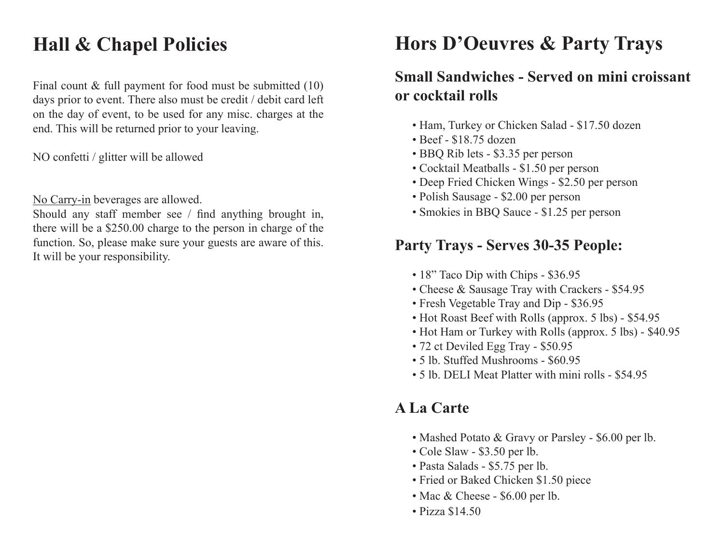# **Hall & Chapel Policies**

Final count & full payment for food must be submitted (10) days prior to event. There also must be credit / debit card left on the day of event, to be used for any misc. charges at the end. This will be returned prior to your leaving.

NO confetti / glitter will be allowed

No Carry-in beverages are allowed.

Should any staff member see / find anything brought in, there will be a \$250.00 charge to the person in charge of the function. So, please make sure your guests are aware of this. It will be your responsibility.

# **Hors D'Oeuvres & Party Trays**

# **Small Sandwiches - Served on mini croissant or cocktail rolls**

- Ham, Turkey or Chicken Salad \$17.50 dozen
- Beef \$18.75 dozen
- BBQ Rib lets \$3.35 per person
- Cocktail Meatballs \$1.50 per person
- Deep Fried Chicken Wings \$2.50 per person
- Polish Sausage \$2.00 per person
- Smokies in BBQ Sauce \$1.25 per person

# **Party Trays - Serves 30-35 People:**

- 18" Taco Dip with Chips \$36.95
- Cheese & Sausage Tray with Crackers \$54.95
- Fresh Vegetable Tray and Dip \$36.95
- Hot Roast Beef with Rolls (approx. 5 lbs) \$54.95
- Hot Ham or Turkey with Rolls (approx. 5 lbs) \$40.95
- 72 ct Deviled Egg Tray \$50.95
- 5 lb. Stuffed Mushrooms \$60.95
- 5 lb. DELI Meat Platter with mini rolls \$54.95

# **A La Carte**

- Mashed Potato & Gravy or Parsley \$6.00 per lb.
- Cole Slaw \$3.50 per lb.
- Pasta Salads \$5.75 per lb.
- Fried or Baked Chicken \$1.50 piece
- Mac & Cheese \$6.00 per lb.
- Pizza \$14.50